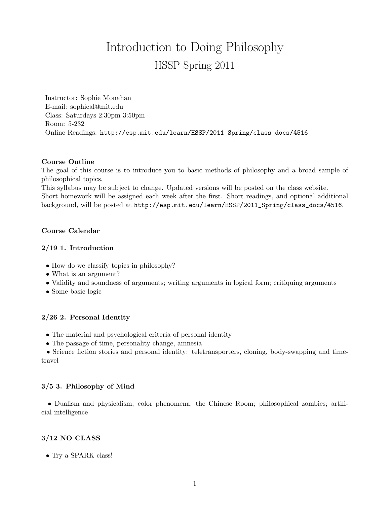# Introduction to Doing Philosophy HSSP Spring 2011

Instructor: Sophie Monahan E-mail: sophical@mit.edu Class: Saturdays 2:30pm-3:50pm Room: 5-232 Online Readings: http://esp.mit.edu/learn/HSSP/2011\_Spring/class\_docs/4516

#### Course Outline

The goal of this course is to introduce you to basic methods of philosophy and a broad sample of philosophical topics.

This syllabus may be subject to change. Updated versions will be posted on the class website. Short homework will be assigned each week after the first. Short readings, and optional additional background, will be posted at http://esp.mit.edu/learn/HSSP/2011\_Spring/class\_docs/4516.

#### Course Calendar

#### 2/19 1. Introduction

- How do we classify topics in philosophy?
- What is an argument?
- Validity and soundness of arguments; writing arguments in logical form; critiquing arguments
- Some basic logic

#### 2/26 2. Personal Identity

- The material and psychological criteria of personal identity
- The passage of time, personality change, amnesia

• Science fiction stories and personal identity: teletransporters, cloning, body-swapping and timetravel

#### 3/5 3. Philosophy of Mind

• Dualism and physicalism; color phenomena; the Chinese Room; philosophical zombies; artificial intelligence

#### 3/12 NO CLASS

• Try a SPARK class!